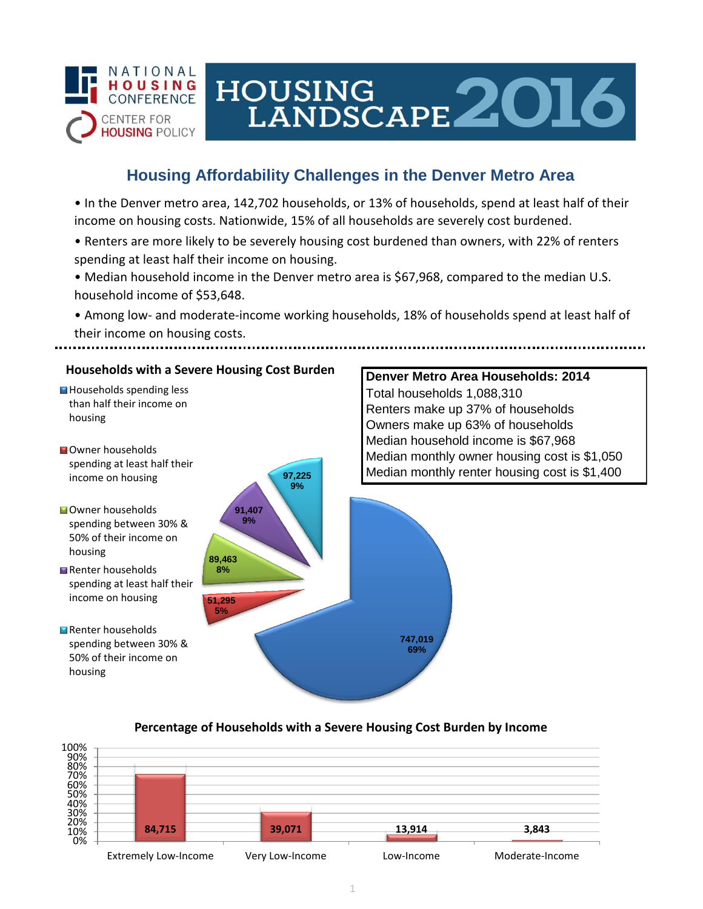

# HOUSING<br>LANDSCAPE 2016

**Denver Metro Area Households: 2014**

Renters make up 37% of households

Total households 1,088,310

## **Housing Affordability Challenges in the Denver Metro Area**

• In the Denver metro area, 142,702 households, or 13% of households, spend at least half of their income on housing costs. Nationwide, 15% of all households are severely cost burdened.

- Renters are more likely to be severely housing cost burdened than owners, with 22% of renters spending at least half their income on housing.
- Median household income in the Denver metro area is \$67,968, compared to the median U.S. household income of \$53,648.
- Among low- and moderate-income working households, 18% of households spend at least half of their income on housing costs.

#### **Households with a Severe Housing Cost Burden**

- Households spending less than half their income on housing
- **N**Owner households spending at least half their income on housing
- **Owner households** spending between 30% & 50% of their income on housing
- Renter households spending at least half their income on housing
- Renter households spending between 30% & 50% of their income on housing



## **Percentage of Households with a Severe Housing Cost Burden by Income**